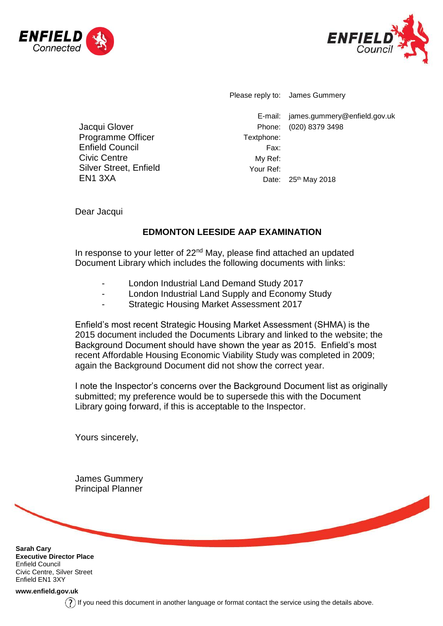



Please reply to: James Gummery

E-mail: james.gummery@enfield.gov.uk Phone: (020) 8379 3498 Textphone: Fax: My Ref: Your Ref: Date: 25<sup>th</sup> May 2018

Civic Centre Silver Street, Enfield EN1 3XA

Jacqui Glover Programme Officer Enfield Council

Dear Jacqui

## **EDMONTON LEESIDE AAP EXAMINATION**

In response to your letter of 22<sup>nd</sup> May, please find attached an updated Document Library which includes the following documents with links:

- London Industrial Land Demand Study 2017
- London Industrial Land Supply and Economy Study
- Strategic Housing Market Assessment 2017

Enfield's most recent Strategic Housing Market Assessment (SHMA) is the 2015 document included the Documents Library and linked to the website; the Background Document should have shown the year as 2015. Enfield's most recent Affordable Housing Economic Viability Study was completed in 2009; again the Background Document did not show the correct year.

I note the Inspector's concerns over the Background Document list as originally submitted; my preference would be to supersede this with the Document Library going forward, if this is acceptable to the Inspector.

Yours sincerely,

James Gummery Principal Planner

**Sarah Cary Executive Director Place** Enfield Council Civic Centre, Silver Street Enfield EN1 3XY

**[www.enfield.gov.uk](http://www.enfield.gov.uk/)**

 $(?)$  If you need this document in another language or format contact the service using the details above.